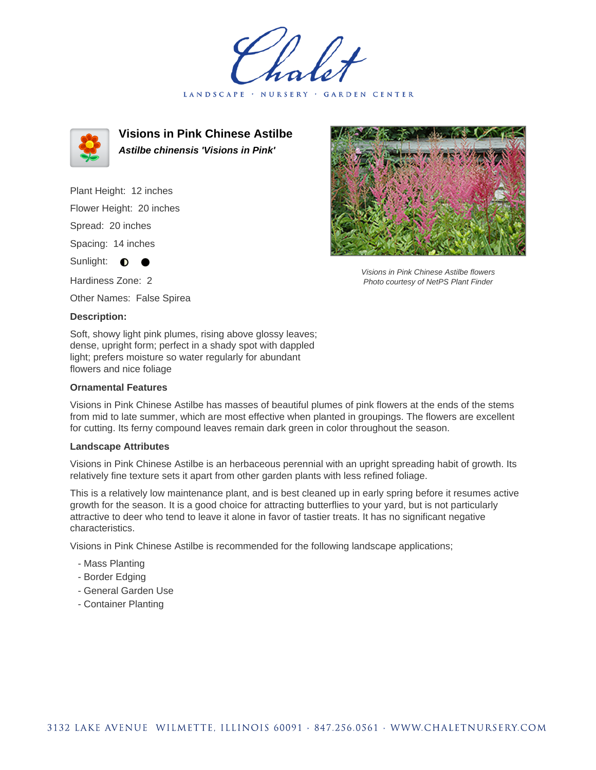LANDSCAPE · NURSERY GARDEN CENTER



**Visions in Pink Chinese Astilbe Astilbe chinensis 'Visions in Pink'**

Plant Height: 12 inches Flower Height: 20 inches Spread: 20 inches Spacing: 14 inches Sunlight: **0** 

Hardiness Zone: 2

Other Names: False Spirea

## **Description:**

Soft, showy light pink plumes, rising above glossy leaves; dense, upright form; perfect in a shady spot with dappled light; prefers moisture so water regularly for abundant flowers and nice foliage

## **Ornamental Features**

Visions in Pink Chinese Astilbe has masses of beautiful plumes of pink flowers at the ends of the stems from mid to late summer, which are most effective when planted in groupings. The flowers are excellent for cutting. Its ferny compound leaves remain dark green in color throughout the season.

## **Landscape Attributes**

Visions in Pink Chinese Astilbe is an herbaceous perennial with an upright spreading habit of growth. Its relatively fine texture sets it apart from other garden plants with less refined foliage.

This is a relatively low maintenance plant, and is best cleaned up in early spring before it resumes active growth for the season. It is a good choice for attracting butterflies to your yard, but is not particularly attractive to deer who tend to leave it alone in favor of tastier treats. It has no significant negative characteristics.

Visions in Pink Chinese Astilbe is recommended for the following landscape applications;

- Mass Planting
- Border Edging
- General Garden Use
- Container Planting



Visions in Pink Chinese Astilbe flowers Photo courtesy of NetPS Plant Finder